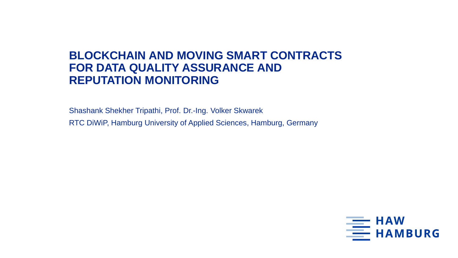### **BLOCKCHAIN AND MOVING SMART CONTRACTS FOR DATA QUALITY ASSURANCE AND REPUTATION MONITORING**

Shashank Shekher Tripathi, Prof. Dr.-Ing. Volker Skwarek RTC DiWiP, Hamburg University of Applied Sciences, Hamburg, Germany

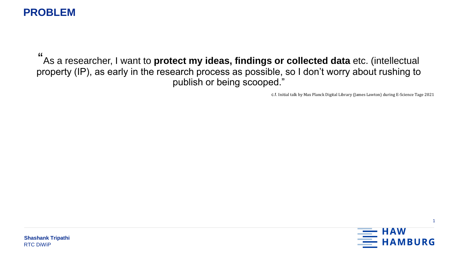#### **PROBLEM**

" As a researcher, I want to **protect my ideas, findings or collected data** etc. (intellectual property (IP), as early in the research process as possible, so I don't worry about rushing to publish or being scooped."

c.f. Initial talk by Max Planck Digital Library (James Lawton) during E-Science Tage 2021

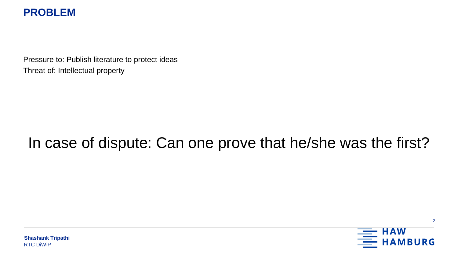#### **PROBLEM**

Pressure to: Publish literature to protect ideas Threat of: Intellectual property

## In case of dispute: Can one prove that he/she was the first?

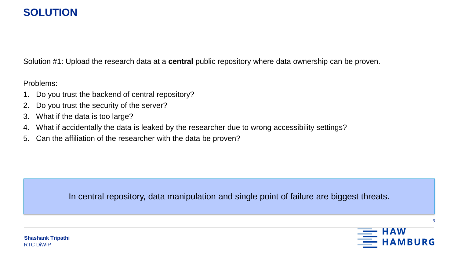#### **SOLUTION**

Solution #1: Upload the research data at a **central** public repository where data ownership can be proven.

Problems:

- 1. Do you trust the backend of central repository?
- 2. Do you trust the security of the server?
- 3. What if the data is too large?
- 4. What if accidentally the data is leaked by the researcher due to wrong accessibility settings?
- 5. Can the affiliation of the researcher with the data be proven?

In central repository, data manipulation and single point of failure are biggest threats.



3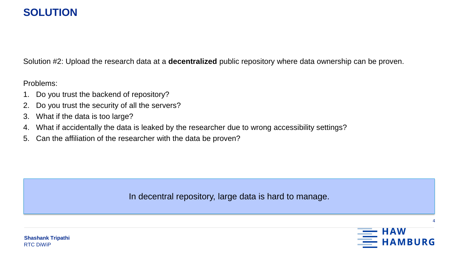#### **SOLUTION**

Solution #2: Upload the research data at a **decentralized** public repository where data ownership can be proven.

Problems:

- 1. Do you trust the backend of repository?
- 2. Do you trust the security of all the servers?
- 3. What if the data is too large?
- 4. What if accidentally the data is leaked by the researcher due to wrong accessibility settings?
- 5. Can the affiliation of the researcher with the data be proven?

In decentral repository, large data is hard to manage.

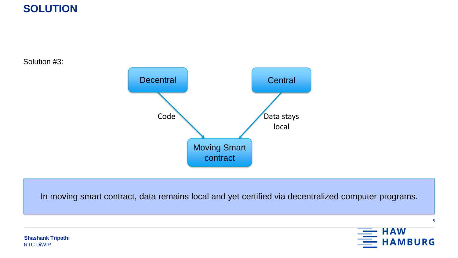

Solution #3:



In moving smart contract, data remains local and yet certified via decentralized computer programs.



5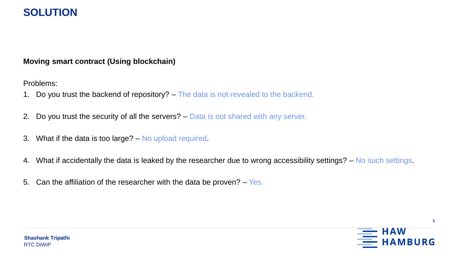#### **SOLUTION**

#### **Moving smart contract (Using blockchain)**

Problems:

- 1. Do you trust the backend of repository? The data is not revealed to the backend.
- 2. Do you trust the security of all the servers? Data is not shared with any server.
- 3. What if the data is too large? No upload required.
- 4. What if accidentally the data is leaked by the researcher due to wrong accessibility settings? No such settings.
- 5. Can the affiliation of the researcher with the data be proven?  $-$  Yes.



6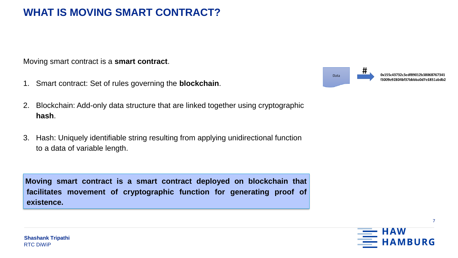#### **WHAT IS MOVING SMART CONTRACT?**

Moving smart contract is a **smart contract**.

- 1. Smart contract: Set of rules governing the **blockchain**.
- 2. Blockchain: Add-only data structure that are linked together using cryptographic **hash**.
- 3. Hash: Uniquely identifiable string resulting from applying unidirectional function to a data of variable length.

**Moving smart contract is a smart contract deployed on blockchain that facilitates movement of cryptographic function for generating proof of existence.**



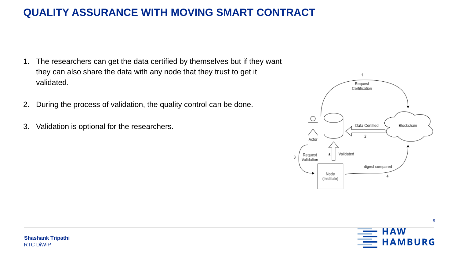### **QUALITY ASSURANCE WITH MOVING SMART CONTRACT**

- 1. The researchers can get the data certified by themselves but if they want they can also share the data with any node that they trust to get it validated.
- 2. During the process of validation, the quality control can be done.
- 3. Validation is optional for the researchers.



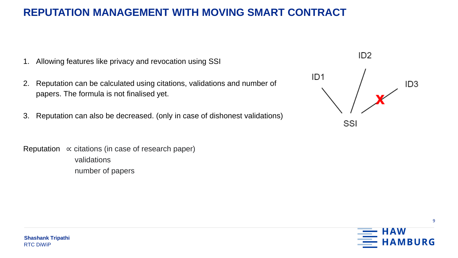#### **REPUTATION MANAGEMENT WITH MOVING SMART CONTRACT**

- 1. Allowing features like privacy and revocation using SSI
- 2. Reputation can be calculated using citations, validations and number of papers. The formula is not finalised yet.
- 3. Reputation can also be decreased. (only in case of dishonest validations)
- Reputation  $\propto$  citations (in case of research paper) validations number of papers